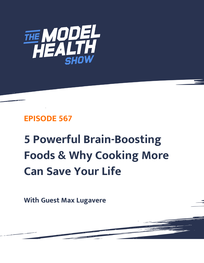

## **EPISODE 567**

# **5 Powerful Brain-Boosting Foods & Why Cooking More Can Save Your Life**

**With Guest Max Lugavere**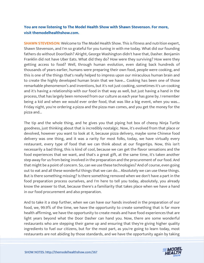### **You are now listening to The Model Health Show with Shawn Stevenson. For more, visit themodelhealthshow.com.**

**SHAWN STEVENSON:** Welcome to The Model Health Show. This is fitness and nutrition expert, Shawn Stevenson, and I'm so grateful for you tuning in with me today. What did our founding fathers do without DoorDash? Alright, George Washington didn't have that, Dasher. Benjamin Franklin did not have Uber Eats. What did they do? How were they surviving? How were they getting access to food? Well, through human evolution, even dating back hundreds of thousands of years earlier, humans were preparing their own food, people were cooking, and this is one of the things that's really helped to impress upon our miraculous human brain and to create the highly developed human brain that we have... Cooking has been one of those remarkable phenomenon's and inventions, but it's not just cooking, sometimes it's un-cooking and it's having a relationship with our food in that way as well, but just having a hand in the process, that has largely been removed from our culture as each year has gone by. I remember being a kid and when we would ever order food, that was like a big event, when you was... Friday night, you're ordering a pizza and the pizza man comes, and you get the money for the pizza and...

The tip and the whole thing, and he gives you that piping hot box of cheesy Ninja Turtle goodness, just thinking about that is incredibly nostalgic. Now, it's evolved from that place or devolved, however you want to look at it, because pizza delivery, maybe some Chinese food delivery was one thing, and it was a rarity for most folks, today, we have virtually every restaurant, every type of food that we can think about at our fingertips. Now, this isn't necessarily a bad thing, this is kind of cool, because we can get the flavor sensations and the food experiences that we want, and that's a great gift, at the same time, it's taken another step away for us from being involved in the preparation and the procurement of our food. And that might be a point of concern. So, can we use these technologies? And of course, even going out to eat and all these wonderful things that we can do... Absolutely we can use these things. But is there something missing? Is there something removed when we don't have a part in the food preparation process ourselves, and I'm here to tell you today, absolutely, you already know the answer to that, because there's a familiarity that takes place when we have a hand in our food procurement and also preparation.

And to take it a step further, when we can have our hands involved in the preparation of our food, we, 99.9% of the time, we have the opportunity to create something that is far more health affirming, we have the opportunity to create meals and have food experiences that are light years beyond what the Door Dasher can hand you. Now, there are some wonderful restaurants who are stepping their game up and ensuring that they're giving higher quality ingredients to fuel our citizens, but for the most part, as you're going to learn today, most [restaurants are not abiding by those standards, and we have the opportunity again by taking](https://themodelhealthshow.com/max-lugavere-brain-boosting-foods/) 

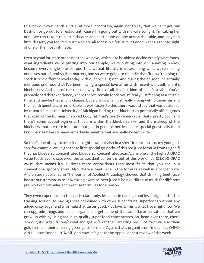this into our own hands a little bit more, not totally, again, not to say that we can't get our Dash on or go out to a restaurant, 'cause I'm going out with my wife tonight, I'm taking her out... We can take it to a little theater and a little one-on-one across the table, and maybe a little dessert, you feel me, but these are all accessible for us, but I don't want us to lose sight of one of the most intimate...

Even beyond intimate processes that we have, which is to be able to decide exactly what foods, what ingredients we're putting into our temple, we're putting into our amazing bodies, because every single bite of food that we eat literally is determining what we're making ourselves out of, and so that matters, and so we're going to rekindle that fire, we're going to spark it to a different level today with our special guest. And during the episode, he actually mentions one food that I've been having a special love affair with recently, myself, and it's blueberries. And one of the reasons why, first of all, it's just kind of a... It's a vibe. You've probably had this experience, where there's certain foods you're really just feeling at a certain time, and maybe that might change, but right now I'm just really vibing with blueberries and the health benefits are remarkable as well. Listen to this, there was a study that was published by researchers at the University of Michigan finding that blueberries potentially affect genes that control the burning of stored body fat, that's pretty remarkable, that's pretty cool, and there's some special pigments that are within the blueberry skin and the makeup of the blueberry that are rare in nature, but just in general, berries as our special guest calls them brain berries have so many remarkable benefits that are really system-wide.

So that's one of my favorite foods right now, but also in a specific concentrate, my youngest son, for example, we've got these little special go-packs of this red juice formula from Organifi that has blueberry, concentrated blueberry, concentrated acai. Acai is one of the highest ORAC value foods ever discovered, the antioxidant content is out of this world. It's 103,000 ORAC value, that means it's 10 times more antioxidants than most fruits that you see in a conventional grocery store. Also, there is beet juice in the formula as well in a concentrate. And a study published in The Journal of Applied Physiology showed that drinking beet juice boosts our stamina up to 16% during exercise. Beet juice is being utilized so much for different pre-workout formulas and exercise formulas for a reason.

They even experience in this particular study, less muscle damage and less fatigue after the training session, so having these combined with other super fruits, superfoods without any added crazy sugar and a formula that tastes good, kids love it. This is what I love right now. We can upgrade things and it's all organic and get some of the same flavor sensations that we grew up with by using real high quality super food concentrates. So, head over there, check 'em out, it's organifi.com/model and get 20% off their amazing red juice formula, also their gold formula, their amazing green juice formula. Again, that's organifi.com/model. It's O-R-G-A-N-I-F-I.com/model, 20% off. And now let's get to the Apple Podcast review of the week.

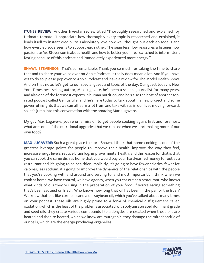**ITUNES REVIEW:** Another five-star review titled "Thoroughly researched and explained" by Ultimate tomato. "I appreciate how thoroughly every topic is researched and explained, it lends itself to instant credibility. I absolutely love how well thought out each episode is and how every episode seems to support each other. The seamless flow reassures a listener how passionate Mr. Stevenson is about health and how to better your life. I switched to intermittent fasting because of this podcast and immediately experienced more energy."

**SHAWN STEVENSON:** That's so remarkable. Thank you so much for taking the time to share that and to share your voice over on Apple Podcast, it really does mean a lot. And if you have yet to do so, please pop over to Apple Podcast and leave a review for The Model Health Show. And on that note, let's get to our special guest and topic of the day. Our guest today is New York Times best-selling author, Max Lugavere, he's been a science journalist for many years, and also one of the foremost experts in human nutrition, and he's also the host of another toprated podcast called Genius Life, and he's here today to talk about his new project and some powerful insights that we can all learn a lot from and take with us in our lives moving forward, so let's jump into this conversation with the amazing Max Lugavere.

My guy Max Lugavere, you're on a mission to get people cooking again, first and foremost, what are some of the nutritional upgrades that we can see when we start making more of our own food?

**MAX LUGAVERE:** Such a great place to start, Shawn. I think that home cooking is one of the greatest leverage points for people to improve their health, improve the way they feel, increase energy levels, reduce brain fog, improve mental health, and the reason for that is that you can cook the same dish at home that you would pay your hard-earned money for out at a restaurant and it's going to be healthier, implicitly, it's going to have fewer calories, fewer fat calories, less sodium, it's going to improve the dynamics of the relationships with the people that you're cooking with and around and serving to, and most importantly, I think when we cook at home, we have control, we have agency, when you eat out at a restaurant, who knows what kinds of oils they're using in the preparation of your food, if you're eating something that's been sautéed or fried... Who knows how long that oil has been in the pan or the fryer? We know that oils like corn oil, canola oil, soybean oil, which you've talked about many times on your podcast, these oils are highly prone to a form of chemical disfigurement called oxidation, which is the least of the problems associated with polyunsaturated dominant grade and seed oils, they create various compounds like aldehydes are created when these oils are heated and then re-heated, which we know are mutagenic, they damage the mitochondria of our cells, which are the energy-producing organelles.

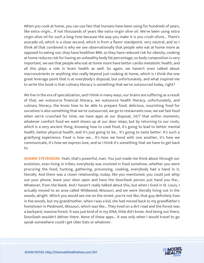When you cook at home, you can use fats that humans have been using for hundreds of years, like extra virgin... If not thousands of years like extra virgin olive oil. We've been using extra virgin olive oil for such a long time because the way you make it is you crush olives... There's avocado oil, which is a close second, which is from a flavor standpoint, very neutral, and so I think all that combined is why we see observationally that people who eat at home more as opposed to eating out, they have healthier BMI, so they have reduced risk for obesity, cooking at home reduces risk for having an unhealthy body fat percentage, so body composition is very important, we see that people who eat at home more have better cardio metabolic health, and all this plays a role in brain health as well. So again, we haven't even talked about macronutrients or anything else really beyond just cooking at home, which is I think the one great leverage point that is at everybody's disposal, but unfortunately, and what inspired me to write this book is that culinary literacy is something that we've outsourced today, right?

We live in the era of specialization, and I think in many ways, our brains are suffering as a result of that, we outsource financial literacy, we outsource health literacy, unfortunately, and culinary literacy, the know how to be able to prepare food, delicious, nourishing food for ourselves is also something that we've outsourced, we go to restaurants now, we eat fast food when we're crunched for time, we have apps at our disposal, 24/7 that within moments, whatever comfort food we want shows up at our door steps, but by returning to our roots, which is a very ancient thing, knowing how to cook food, it's going to lead to better mental health, better physical health, and it's just going to be... It's going to taste better. It's such a gratifying experience. Food is how we... It's how we bond with one another, it's how we communicate, it's how we express love, and so I think it's something that we have to get back to.

**SHAWN STEVENSON:** Yeah, that's powerful, man. You just made me think about through our evolution, even living in tribes, everybody was involved in food somehow, whether you were procuring the food, hunting, gathering, processing, cooking, everybody had a hand in it, literally. And there was a closer relationship, today, like you mentioned, you could just whip out your phone, leave your door open and have the DoorDash person just hand you the... Whatever, from the blank. And I haven't really talked about this, but when I lived in St. Louis, I actually moved to an area called Wildwood, Missouri, and we were literally living out in the woods, alright. Which you would see me on the street, you're not like, that guy definitely lives in the woods, but my grandmother, when I was a kid, she had moved back to my grandfather's hometown in Piedmont, Missouri, which was like... They lived on a dirt road and the forest was a backyard, massive forest. It was just kind of in my DNA, little did I know. And being out there, DoorDash wouldn't deliver there. None of these apps... It was only when I would travel to go speak somewhere could I get Uber Eats or whatever.

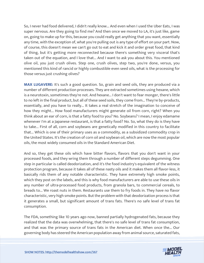So, I never had food delivered, I didn't really know... And even when I used the Uber Eats, I was super nervous. Are they going to find me? And then once we moved to LA, it's just like, game on, going to make up for this, because you could really get anything that you want, essentially any time, with the exception of, what you're pulling out is any type of effort on your part. Now, of course, this doesn't mean we can't go out to eat and kick it and order great food, that kind of thing, but it's getting more reconnected because there's something very visceral that's taken out of the equation, and I love that... And I want to ask you about this. You mentioned olive oil, you just crush olives. Step one, crush olives, step two, you're done, versus, you mentioned this kind of rancid or highly combustible even seed oils, what is the processing for those versus just crushing olives?

**MAX LUGAVERE:** It's such a good question. So, grain and seed oils, they are produced via a number of different production processes. They are extracted sometimes using hexane, which is a neurotoxin, sometimes they're not. And hexane... I don't want to fear monger, there's little to no left in the final product, but all of these seed soils, they come from... They're by-products, essentially, and you have to really... It takes a real stretch of the imagination to conceive of how they might... How food manufacturers might generate oil from corn, right? When you think about an ear of corn, is that a fatty food to you? No. Soybeans? I mean, I enjoy edamame whenever I'm at a Japanese restaurant, is that a fatty food? No. So, what they do is they have to take... First of all, corn and soybeans are genetically modified in this country to facilitate that... Which is one of their primary uses as a commodity, as a subsidized commodity crop in the United States. It's the creation of corn oil and soybean oil, which are now the most popular oils, the most widely consumed oils in the Standard American Diet.

And so, they get these oils which have bitter flavors, flavors that you don't want in your processed foods, and they wring them through a number of different steps degumming. One step in particular is called deodorization, and it's the food industry's equivalent of the witness protection program, because it takes all of these nasty oils and it makes them all flavor-less, it basically rids them of any notable characteristic. They have extremely high smoke points, which they post on the labels, and this is why food manufacturers are able to use these oils in any number of ultra-processed food products, from granola bars, to commercial cereals, to breads to... We roast nuts in them. Restaurants use them to fry foods in. They have no flavor characteristic, very high smoke points. But the problem with that deodorization process is that it generates a small, but significant amount of trans fats. There's no safe level of trans fat consumption.

The FDA, something like 10 years ago now, banned partially hydrogenated fats, because they realized that the data was overwhelming, that there's no safe level of trans fat consumption, and that was the primary source of trans fats in the American diet. When once the... Our governing body has steered the American population away from animal source, saturated fats,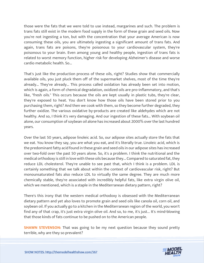those were the fats that we were told to use instead, margarines and such. The problem is trans fats still exist in the modern food supply in the form of these grain and seed oils. Now you're not ingesting a ton, but with the concentration that your average American is now consuming these oils, you are ultimately ingesting a significant amount of trans fats. And again, trans fats are poisons, they're poisonous to your cardiovascular system, they're poisonous to your brain. Even among young and healthy people, ingestion of trans fats is related to worst memory function, higher risk for developing Alzheimer's disease and worse cardio metabolic health. So...

That's just like the production process of these oils, right? Studies show that commercially available oils, you just pluck them off of the supermarket shelves, most of the time they're already... They've already... This process called oxidation has already been set into motion, which is again, a form of chemical degradation, oxidized oils are pro-inflammatory, and that's like, "fresh oils." This occurs because the oils are kept usually in plastic tubs, they're clear, they're exposed to heat. You don't know how those oils have been stored prior to you purchasing them, right? And then we cook with them, so they become further degraded, they further oxidize. The various oxidative by-products are created like aldehydes which are not healthy. And so, I think it's very damaging. And our ingestion of these fats... With soybean oil alone, our consumption of soybean oil alone has increased about 2000% over the last hundred years.

Over the last 50 years, adipose linoleic acid. So, our adipose sites actually store the fats that we eat. You know they say, you are what you eat, and it's literally true. Linoleic acid, which is the predominant fatty acid found in these grain and seed oils in our adipose sites has increased over two-fold over the past 50 years alone. So, it's a problem. I think the nutritional and the medical orthodoxy is still in love with these oils because they... Compared to saturated fat, they reduce LDL cholesterol. They're unable to see past that, which I think is a problem. LDL is certainly something that we talk about within the context of cardiovascular risk, right? But monounsaturated fats also reduce LDL to virtually the same degree. They are much more chemically stable, they're associated with incredibly helpful fats, like extra virgin olive oil, which we mentioned, which is a staple in the Mediterranean dietary pattern, right?

There's this irony that the western medical orthodoxy is obsessed with the Mediterranean dietary pattern and yet also loves to promote grain and seed oils like canola oil, corn oil, and soybean oil. If you actually go to a kitchen in the Mediterranean region of the world, you won't find any of that crap, it's just extra virgin olive oil. And so, to me, it's just... It's mind-blowing that those kinds of fats continue to be pushed on to the American people.

**SHAWN STEVENSON:** That was going to be my next question because they sound pretty terrible, why are they so prevalent?

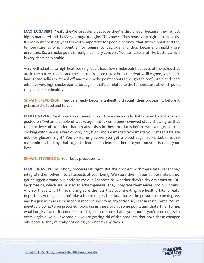**MAX LUGAVERE:** Yeah, they're prevalent because they're dirt cheap, because they're just highly marketed and they've got huge margins. They have... They boast very high smoke points. It's really interesting, yet I think it's important for people to know that smoke point and the temperature at which point an oil begins to degrade and thus become unhealthy are unrelated. So, a smoke point is really a culinary concern. You can take a fat like butter, which is very chemically stable.

Very well adapted to high heat cooking, but it has a low smoke point because of the solids that are in the butter, casein, and the lactose. You can take a butter derivative like ghee, which just have those solids skimmed off and the smoke point shoots through the roof. Grain and seed oils have very high smoke points, but again, that's unrelated to the temperature at which point they become unhealthy.

**SHAWN STEVENSON:** They've already become unhealthy through their processing before it gets into the food and to you.

**MAX LUGAVERE:** Yeah, yeah. Yeah, yeah. I mean, there was a study that I shared Cate Shanahan posted on Twitter a couple of weeks ago, but it was a peer-reviewed study showing us that that the level of oxidation that already exists in these products before we even get started cooking with them is already worryingly high, and a damaged fat damage you. I mean, fats are not like glucose, right? You consume glucose, you get a blood sugar spike, but if you're metabolically healthy, that sugar is cleared, it's cleared either into your muscle tissue or your liver.

**SHAWN STEVENSON:** Your body processes it.

**MAX LUGAVERE:** Your body processes it, right. But the problem with these fats is that they integrate themselves into all aspects of your being. We store them in our adipose sites, they get chugged around our body by various lipoproteins, whether they're chylomicrons or LDL, lipoproteins, which are related to atherogenesis. They integrate themselves into our brains. And so, that's why I think making sure the fats that you're eating are healthy fats is really important. And again, I don't like a fear-monger, the dose makes the poison to some degree, and I'm just as much a member of modern society as anybody else, I eat in restaurants. You're inevitably going to be prepared foods using these oils at some point, and that's fine. To me, what I urge viewers, listeners to do is to just make sure that in your home, you're cooking with extra virgin olive oil, avocado oil, you're getting rid of the products that have these cheaper oils, because they're really not doing your health any favors.

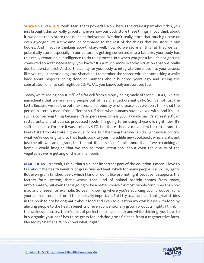**SHAWN STEVENSON:** Yeah. Man, that's powerful. Now, here's the craziest part about this, you just brought this up really gracefully, even how our body store these things. If you think about it, we don't really store that much carbohydrate. We don't really store that much glucose or even glycogen, it's a tiny amount compared to the rest of the things that we store in our bodies. And if you're thinking about, okay, well, how do we store all this fat that we can potentially store, especially in our culture, is getting converted into a fat. Like, your body has this really remarkable intelligence to do this process. But when you got a fat, it's not getting converted to a fat necessarily, you know? It's a much more sketchy situation that we really don't understand yet. And so, the ability for your body to integrate these fats into your tissues, like, you're just mentioning Cate Shanahan, I remember she shared with me something a while back about biopsies being done on humans about hundred years ago and seeing the constitution of a fat cell might be 2% PUFAs, you know, polyunsaturated fats.

Today, we're seeing about 25% of a fat cell from a biopsy being made of these PUFAs, like, the ingredients that we're making people out of has changed dramatically. So, it's not just the fact... Because we see the outer expression of obesity or of disease, but we don't think that the person is literally made from different stuff than what humans have evolved with. And it's just such a concerning thing because it's so pervasive. Unless you... I would say it's at least 90% of restaurants, and of course, processed foods, I'm going to be using these oils right now. It's shifted because I'm sure it was probably 95%, but there's been a movement for restaurants to kind of start to integrate higher quality oils. But the thing that we can do right now is control what we're cooking, and so that leads back to your incredible new cookbook, which is, it's not just the oils we can upgrade, but the nutrition itself. Let's talk about that. If we're cooking at home, I would imagine that we can be more intentional about even the quality of the vegetables we're getting or the animal foods.

**MAX LUGAVERE:** Yeah, I think that's a super important part of the equation. I mean, I love to talk about the health benefits of grass finished beef, which for many people is a luxury, right? But even grain finished beef, which I kind of don't like promoting it because it supports the factory farm system, that's where that kind of animal protein comes from today, unfortunately, but even that is going to be a better choice for most people for dinner than box mac and cheese, for example. So yeah, knowing where you're sourcing your produce from, your animal products from, I think is really important. But I try to... I went... I took great strides in the book to not be dogmatic about food and even to question my own biases with food by alerting people to the health benefits of even conventionally grown products, right? I think in the wellness industry, there's a lot of perfectionism and black and white thinking, you have to buy organic, your beef has to be grass-fed, pristine grass finished from a regenerative farm, blessed by Shamans. Who knows what, right?

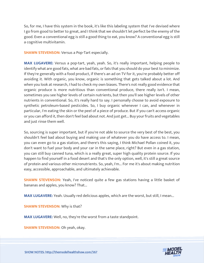So, for me, I have this system in the book, it's like this labeling system that I've devised where I go from good to better to great, and I think that we shouldn't let perfect be the enemy of the good. Even a conventional egg is still a good thing to eat, you know? A conventional egg is still a cognitive multivitamin.

**SHAWN STEVENSON:** Versus a Pop-Tart especially.

**MAX LUGAVERE:** Versus a pop-tart, yeah, yeah. So, it's really important, helping people to identify what are good fats, what are bad fats, or fats that you should do your best to minimize. If they're generally with a food product, if there's an ad on TV for it, you're probably better off avoiding it. With organic, you know, organic is something that gets talked about a lot. And when you look at research, I had to check my own biases. There's not really good evidence that organic produce is more nutritious than conventional produce, there really isn't. I mean, sometimes you see higher levels of certain nutrients, but then you'll see higher levels of other nutrients in conventional. So, it's really hard to say. I personally choose to avoid exposure to synthetic petroleum-based pesticides. So, I buy organic whenever I can, and whenever in particular, I'm eating the skin or the peel of a piece of produce. But if you can't access organic or you can afford it, then don't feel bad about not. And just get... Buy your fruits and vegetables and just rinse them well.

So, sourcing is super important, but if you're not able to source the very best of the best, you shouldn't feel bad about buying and making use of whatever you do have access to. I mean, you can even go to a gas station, and there's this saying, I think Michael Pollan coined it, you don't want to fuel your body and your car in the same place, right? But even in a gas station, you can still buy canned tuna, which is a really great, super high quality protein source. If you happen to find yourself in a food desert and that's the only option, well, it's still a great source of protein and various other micronutrients. So, yeah, I'm... For me it's about making nutrition easy, accessible, approachable, and ultimately achievable.

**SHAWN STEVENSON:** Yeah, I've noticed quite a few gas stations having a little basket of bananas and apples, you know? That...

**MAX LUGAVERE:** Yeah. Usually red delicious apples, which are the worst, but still, I mean...

**SHAWN STEVENSON:** Why is that?

**MAX LUGAVERE:** Well, no, they're the worst from a taste standpoint.

**SHAWN STEVENSON: Oh yeah, okay.** 

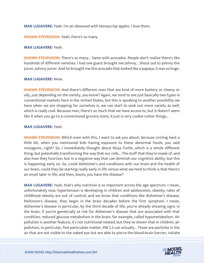**MAX LUGAVERE:** Yeah. I'm an obsessed with Honeycrisp apples. I love them.

**SHAWN STEVENSON:** Yeah, there's so many.

#### **MAX LUGAVERE:** Yeah.

**SHAWN STEVENSON:** There's so many... Same with avocados. People don't realize there's like hundreds of different varieties. I had one guest brought me Johnny... Shout out to Johnny the Juicer, Johnny Juicer. And he brought me this avocado that looked like a papaya, it was so huge.

#### **MAX LUGAVERE:** Wow.

**SHAWN STEVENSON:** And there's different ones that are kind of more buttery or cheesy or oily, just depending on the variety, you know? Again, we tend to see just basically two types in conventional markets here in the United States, but this is speaking to another possibility we have when we are shopping for ourselves is, we can start to seek out more variety as well, which is really cool. Because man, there's so much that we have access to, but it doesn't seem like it when you go to a conventional grocery store, it just is very cookie-cutter things...

#### **MAX LUGAVERE:** Yeah.

**SHAWN STEVENSON:** Which even with this, I want to ask you about, because circling back a little bit, when you mentioned kids having exposure to these abnormal foods, you said mutagenic, right? So, I immediately thought about Ninja Turtle, which is a whole different thing, but potentially transforming the way that our cells... The stuff that they're made of, and also how they function, but in a negative way that can diminish our cognitive ability, but this is happening early on. So, could Alzheimer's and conditions with our brain and the health of our brain, could they be starting really early in life versus what we tend to think is that there's an onset later in life, and then, boom, you have the disease?

**MAX LUGAVERE:** Yeah, that's why nutrition is so important across the age spectrum. I mean, unfortunately now, hypertension is developing in children and adolescents, obesity, rates of childhood obesity are out of control, and we know that conditions like Alzheimer's disease, Parkinson's disease, they begin in the brain decades before the first symptom. I mean, Alzheimer's disease in particular, by the third decade of life, you're already showing signs in the brain, if you're genetically at risk for Alzheimer's disease that are associated with that condition, reduced glucose metabolism in the brain, for example, called hypometabolism. Air pollution is another feature, it's not nutritional related, but they've shown that in children, air pollution, in particular, fine particulate matter, PM 2.5 can actually... These are particles in the air that are not visible to the naked eye but are able to pierce the blood-brain barrier, initiate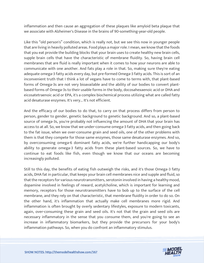inflammation and then cause an aggregation of these plaques like amyloid beta plaque that we associate with Alzheimer's Disease in the brains of 90-something-year-old people.

Like this "old person's" condition, which is really not, but we see this now in younger people that are living in heavily polluted areas. Food plays a major role. I mean, we know that the foods that you eat provide the building blocks that your brain uses to create healthy new brain cells, supple brain cells that have the characteristic of membrane fluidity. So, having brain cell membranes that are fluid is really important when it comes to how your neurons are able to communicate with one another. And fats play a role in that. So, making sure they're eating adequate omega-3 fatty acids every day, but pre-formed Omega-3 fatty acids. This is sort of an inconvenient truth that I think a lot of vegans have to come to terms with, that plant-based forms of Omega-3s are not very bioavailable and the ability of our bodies to convert plantbased forms of Omega-3s to their usable forms in the body, docosahexaenoic acid or DHA and eicosatetraenoic acid or EPA, it's a complex biochemical process utilizing what are called fatty acid desaturase enzymes. It's very... It's not efficient.

And the efficacy of our bodies to do that, to carry on that process differs from person to person, gender to gender, genetic background to genetic background. And so, a plant-based source of omega-3s, you're probably not influencing the amount of DHA that your brain has access to at all. So, we know that we under-consume omega-3 fatty acids, and then going back to the fat issue, when we over-consume grain and seed oils, one of the other problems with them is that they compete for those same enzymes, those same desaturase enzymes. And so, by overconsuming omega-6 dominant fatty acids, we're further handicapping our body's ability to generate omega-3 fatty acids from these plant-based sources. So, we have to continue to eat foods like fish, even though we know that our oceans are becoming increasingly polluted.

Still to this day, the benefits of eating fish outweigh the risks, and it's those Omega-3 fatty acids, DHA fat in particular, that keeps your brain cell membranes nice and supple and fluid, so that the receptors for various neurotransmitters, serotonin involved in having a healthy mood, dopamine involved in feelings of reward, acetylcholine, which is important for learning and memory, receptors for those neurotransmitters have to bob up to the surface of the cell membrane, and they rely on that characteristic, that membrane fluidity in order to do so. On the other hand, it's inflammation that actually make cell membranes more rigid. And inflammation is often brought by overly sedentary lifestyles, exposure to modern toxicants, again, over-consuming these grain and seed oils. It's not that the grain and seed oils are necessary inflammatory in the sense that you consume them, and you're going to see an increase in inflammatory biomarkers, but they provide the precursors for your body's inflammation pathways. So, when you do confront an inflammatory stimulus.

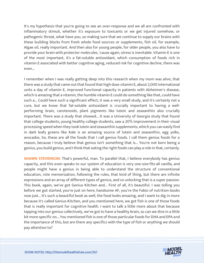It's my hypothesis that you're going to see an over-response and we all are confronted with inflammatory stimuli, whether it's exposure to toxicants or we get injured somehow, or pathogenic threat, what have you, so making sure that we continue to supply our brains with these building blocks from fresh whole food sources or supplements, fish oil, for example, Algae oil, really important. And then also for young people, for older people, you also have to provide your brain with protector molecules, 'cause again, stress is inevitable. Vitamin E is one of the most important, it's a fat-soluble antioxidant, which consumption of foods rich in vitamin E associated with better cognitive aging, reduced risk for cognitive decline, there was even...

I remember when I was really getting deep into this research when my mom was alive, that there was a study that came out that found that high dose vitamin E, about 2,000 international units a day of vitamin E, improved functional capacity in patients with Alzheimer's disease, which is amazing that a vitamin, the humble vitamin E could do something like that, could have such a... Could have such a significant effect, it was a very small study, and it's certainly not a cure, but we know that fat-soluble antioxidant is crucially important to having a wellperforming brain, carotenoids, plant pigments like lutein and zeaxanthin also crucially important. There was a study that showed... It was a University of Georgia study that found that college students, young healthy college students, saw a 20% improvement in their visual processing speed when they took lutein and zeaxanthin supplements, which you can easily find in dark leafy greens like Kale is an amazing source of lutein and zeaxanthin, egg yolks, avocados. So, these are all the foods that I call genius foods. I call them genius foods for a reason, because I truly believe that genius isn't something that is... You're not born being a genius, you build genius, and I think that eating the right foods can play a role in that, certainly.

**SHAWN STEVENSON:** That's powerful, man. To parallel that, I believe everybody has genius capacity, and this even speaks to our system of education is very one-size-fits-all vanilla, and people might have a genius in being able to understand the structure of conventional education, rote memorization, following the rules, that kind of thing, but there are infinite expressions and an array of different types of genius, and so unlocking that is a super passion. This book, again, we've got Genius Kitchen and... First of all, it's beautiful. I was telling you before we got started, you're just on here, handsome AF, you're the Fabio of nutrition books now just... It's such a beautiful book as well, the food looks amazing, and I want to dig in more because it's called Genius Kitchen, and you mentioned here, we got fish is one of those foods that is really important for cognitive health. I want to talk a little more about that because tapping into our genius collectively, we've got to have a healthy brain, so can we dive in a little bit more specific on... You mentioned fish is one of those particular foods for DHA and EPA and the importance of this, but are there any specifics with the type of fish or anything we should pay attention to?

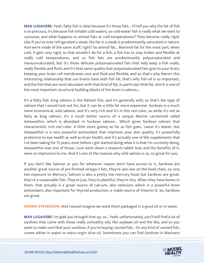**MAX LUGAVERE:** Yeah, fatty fish is ideal because it's those fats... I'll tell you why the fat of fish is so precious, it's because fish inhabit cold waters, so cold-water fish is really what we want to consume, and what happens to animal fats at cold temperatures? They become really rigid. Like if you've ever refrigerated a steak, the fat in a steak is predominantly saturated in nature. And we're made of the same stuff, right? So animal fat... Mammal fat for the most part, when cold, it gets very rigid, so that wouldn't do for a fish, a fish has to stay limber and flexible at really cold temperatures, and so fish fats are predominantly polyunsaturated and monounsaturated, but it's those delicate polyunsaturated fats that help keep a fish really, really flexible and fluid, and it's that same quality that polyunsaturated fats give to your brain, keeping your brain cell membranes nice and fluid and flexible, and so that's why there's this interesting relationship that our brains have with fish fat, that's why fish oil is so important, and the fish that are most abundant with that kind of fat, in particular DHA fat, which is one of the most important structural building blocks of the brain is salmon...

It's a fatty fish. King salmon is the fattiest fish, and it's generally wild, so that's the type of salmon that I would look out for, but it can be a little bit more expensive. Sockeye is a much more economical, wild salmon, and it's very rich and it's in this red color, so while it's not as fatty as king salmon, it's a much better source of a unique Marine carotenoid called Astaxanthin, which is abundant in Sockeye salmon... Which gives Sockeye salmon that characteristic rich red color. A little more gamey as far as fish goes, 'cause it's leaner, but Astaxanthin is a very powerful antioxidant that improves your skin quality, it's powerfully protective to eye health as well as brain health, and it's actually one of the supplements that I've been taking for 15 years, even before I got started doing what it is that I'm currently doing, Astaxanthin was one of those, I just went down a research rabbit hole and the benefits of it, were so impressive to me. And it's one of the reasons why wild salmon is so, so great for you.

If you don't like Salmon or you for whatever reason don't have access to it, Sardines are another great source of pre-formed omega-3 fats, they're also low on the food chain, so very low exposure to Mercury. Salmon is also a pretty low mercury food, but Sardines are great, they're a sustainable fish. They're just, they're plentiful, they're tiny. When they have bones in them, that actually is a great source of calcium, also selenium, which is a powerful brain antioxidant, also important for thyroid production, a viable source of Vitamin D. So, Sardines are great.

**SHAWN STEVENSON:** And I would imagine we want them packaged in a good oil or in water.

**MAX LUGAVERE:** I'm glad you brought that up, so... Yeah, unfortunately, you'll still find a lot of sardines that come with these really unhealthy oils, like soybean oil and the like, and so you want to make sure that your sardines, if you're buying canned fish... Or any kind of canned fish, comes either in water or extra virgin olive oil. Sometimes you can find Sardines in Marinara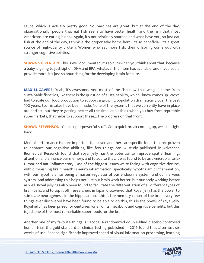sauce, which is actually pretty good. So, Sardines are great, but at the end of the day, observationally, people that eat fish seem to have better health and the fish that most Americans are eating is not... Again, it's not pristinely sourced and what have you, so just eat fish at the end of the day, I think is the proper take home here, it's so beneficial. It's a great source of high-quality protein. Women who eat more fish, their offspring come out with stronger cognitive abilities...

**SHAWN STEVENSON:** This is well documented, it's so nuts when you think about that, because a baby is going to just siphon DHA and EPA, whatever the mom has available, and if you could provide more, it's just so nourishing for the developing brain for sure.

**MAX LUGAVERE:** Yeah, it's awesome. And most of the fish now that we get come from sustainable fisheries, like there is the question of sustainability, which I know comes up. We've had to scale our food production to support a growing population dramatically over the past 100 years. So, mistakes have been made. None of the systems that we currently have in place are perfect, but they're getting better all the time, and I think when you buy from reputable supermarkets, that helps to support these... The progress on that front.

**SHAWN STEVENSON:** Yeah, super powerful stuff. Got a quick break coming up, we'll be right back.

Mental performance is more important than ever, and there are specific foods that are proven to enhance our cognitive abilities, like few things can. A study published in Advanced Biomedical Research found that royal jelly has the potential to improve spatial learning, attention and enhance our memory, and to add to that, it was found to be anti-microbial, antitumor and anti-inflammatory. One of the biggest issues we're facing with cognitive decline, with diminishing brain health is neuro inflammation, specifically hypothalamic inflammation, with our hypothalamus being a master regulator of our endocrine system and our nervous system. And addressing this helps not just our brain work better, but our body working better as well. Royal jelly has also been found to facilitate the differentiation of all different types of brain cells, and to top it off, researchers in Japan discovered that Royal jelly has the power to stimulate neurogenesis in the hippocampus, this is the memory center of the brain, very few things ever discovered have been found to be able to do this, this is the power of royal jelly. Royal jelly has been prized for centuries for all of its metabolic and cognitive benefits, but this is just one of the most remarkable super foods for the brain.

Another one of my favorite things is Bacopa. A randomized double-blind placebo-controlled human trial, the gold standard of clinical testing published in 2016 found that after just six weeks of use, Bacopa significantly improved speed of visual information processing, learning

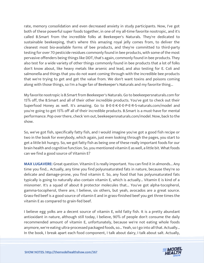rate, memory consolidation and even decreased anxiety in study participants. Now, I've got both of these powerful super foods together, in one of my all-time favorite nootropic, and it's called B.Smart from the incredible folks at Beekeeper's Naturals. They're dedicated to sustainable beekeeping, that's where this amazing royal jelly comes from, to deliver the cleanest most bio-available forms of bee products, and they're committed to third-party testing for over 70 pesticide residues commonly found in bee products, with some of the most pervasive offenders being things like DDT, that's again, commonly found in bee products. They also test for a wide variety of other things commonly found in bee products that a lot of folks don't know about, like heavy metals like arsenic and lead, and also testing for E. Coli and salmonella and things that you do not want coming through with the incredible bee products that we're trying to get and get the value from. We don't want toxins and poisons coming along with those things, so I'm a huge fan of Beekeeper's Naturals and my favorite thing...

My favorite nootropic is B.Smart from Beekeeper's Naturals. Go to beekeepersnaturals.com for 15% off, the B.Smart and all of their other incredible products. You've got to check out their Superfood Honey as well. It's amazing. Go to B-E-E-K-E-E-P-E-R-S-naturals.com/model and you're going to get 15% off all of their incredible products. B.Smart is a must-have for mental performance. Pop over there, check 'em out, beekeepersnaturals.com/model. Now, back to the show.

So, we've got fish, specifically fatty fish, and I would imagine you've got a good fish recipe or two in the book for everybody, which again, just even looking through the pages, you start to get a little bit hungry. So, we got fatty fish as being one of these really important foods for our brain health and cognitive function. So, you mentioned vitamin E as well, a little bit. What foods can we find a good source of Vitamin E?

**MAX LUGAVERE:** Great question. Vitamin E is really important. You can find it in almonds... Any time you find... Actually, any time you find polyunsaturated fats in nature, because they're so delicate and damage-prone, you find vitamin E. So, any food that has polyunsaturated fats typically is going to naturally also contain vitamin E, which is actually... Vitamin E is kind of a misnomer. It's a squad of about 8 protector molecules that... You've got alpha-tocopherol, gamma-tocopherol, there are, I believe, six others, but yeah, avocados are a great source. Grass-fed beef is a good source of vitamin E and in grass-finished beef you get three times the vitamin E as compared to grain-fed beef.

I believe egg yolks are a decent source of vitamin E, wild fatty fish. It is a pretty abundant antioxidant in nature, although still today, I believe, 90% of people don't consume the daily recommended amount of vitamin E, unfortunately, because we're not eating whole foods anymore, we're eating ultra-processed packaged foods, so... Yeah, so I go into all that. Actually... In the book, I break apart each food component, I talk about dairy, I talk about salt. Actually,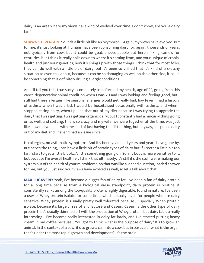dairy is an area where my views have kind of evolved over time, I don't know, are you a dairy fan?

**SHAWN STEVENSON:** Sounds a little bit like an oxymoron... Again, my views have evolved. But for me, it's just looking at, humans have been consuming dairy for, again, thousands of years, not typically from cow, but it could be goat, sheep, people out here milking camels for centuries, but I think it really boils down to where it's coming from, and your unique microbial health and just your genetics, how it's lining up with those things. I think that for most folks, they can do well with a little bit of dairy, but it's been so vilified that it's kind of a sketchy situation to even talk about, because it can be so damaging as well on the other side, it could be something that is definitely driving allergic conditions.

And I'll tell you this, true story, I completely transformed my health, age of 22, going from this vance-degenerative spinal condition when I was 20 and I was looking and feeling good, but I still had these allergies, like seasonal allergies would get really bad, hay fever. I had a history of asthma when I was a kid, I would be hospitalized occasionally with asthma, and when I stopped eating dairy, when I pulled that out of my diet because I was trying to upgrade the dairy that I was getting, I was getting organic dairy, but I constantly had a mucus-y thing going on as well, and spitting, this is so crazy and my wife, we were together at the time, was just like, how did you deal with me kind of just having that little thing, but anyway, so I pulled dairy out of my diet and I haven't had an issue since.

No allergies, no asthmatic symptoms. And it's been years and years and years have gone by. But here's the thing, I can have a little bit of certain types of dairy but if I teeter a little bit too far, I start to get a little bit of... A little something going on. So, my body is more sensitive to it, but because I'm overall healthier, I think that ultimately, it's still it's the stuff we're making our system out of the health of your microbiome, so that was like a loaded question, loaded answer for me, but you just said your views have evolved as well, so let's talk about that.

**MAX LUGAVERE:** Yeah, I've become a bigger fan of dairy fat, I've been a fan of dairy protein for a long time because from a biological value standpoint, dairy protein is pristine, it consistently ranks among the top-quality protein, highly digestible, found in nature. I've been a user of Whey protein isolate for some time, which actually, even for people who are dairy sensitive, Whey protein is usually pretty well tolerated because... Especially When protein isolate, because it's largely free of any lactose and Casein, Casein is the other type of dairy protein that's usually skimmed off with the production of Whey protein, but dairy fat is a really interesting... I've become really interested in dairy fat lately, and I've started putting heavy cream in my coffee because... You got to think, what is the purpose of dairy? It's to grow an animal. In the context of a cow, it's to grow a calf into a cow, but in particular what is the organ that's under the most rapid growth and development? It's the brain.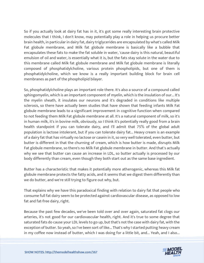So if you actually look at dairy fat has in it, it's got some really interesting brain protective molecules that I think, I don't know, may potentially play a role in helping us procure better brain health, in particular in dairy fat, dairy triglycerides are encapsulated by what's called Milk Fat globule membrane, and Milk fat globule membrane is basically like a bubble that encapsulates these fats to make the fat soluble in water, 'cause dairy is this natural, beautiful emulsion of oil and water, is essentially what it is, but the fats stay solute in the water due to this membrane called Milk fat globule membrane and Milk fat globule membrane is literally composed of phosphatidylcholine, various protein phospholipids, but one of them is phosphatidylcholine, which we know is a really important building block for brain cell membranes as part of the phospholipid bilayer.

So, phosphatidylcholine plays an important role there. It's also a source of a compound called sphingomyelin, which is an important component of myelin, which is the insulation of our... It's the myelin sheath, it insulates our neurons and it's degraded in conditions like multiple sclerosis, so there have actually been studies that have shown that feeding infants Milk Fat globule membrane leads to a significant improvement in cognitive function when compared to not feeding them Milk Fat globule membrane at all. It's a natural component of milk, so it's in human milk, it's in bovine milk, obviously, so I think it's potentially really good from a brain health standpoint if you can tolerate dairy, and I'll admit that 75% of the global adult population is lactose intolerant, but if you can tolerate dairy fat... Heavy cream is an example of a dairy fat that has virtually no lactose or casein in it, so very well tolerated, even butter, but butter is different in that the churning of cream, which is how butter is made, disrupts Milk Fat globule membrane, so there's no Milk Fat globule membrane in butter. And that's actually why we see that butter can cause an increase in LDL, so butter actually is processed by our body differently than cream, even though they both start out as the same base ingredient.

Butter has a characteristic that makes it potentially more atherogenic, whereas this Milk fat globule membrane protects the fatty acids, and it seems that we digest them differently than we do butter, and we're still trying to figure out why, but.

That explains why we have this paradoxical finding with relation to dairy fat that people who consume full fat dairy seem to be protected against cardiovascular disease, as opposed to low fat and fat-free dairy, right.

Because the past few decades, we've been told over and over again, saturated fat clogs our arteries, it's not good for our cardiovascular health, right. And it's true to some degree that saturated fats do cause your LDL levels to go up, but that's not the case with dairy fat, with the exception of butter. So yeah, so I've been sort of like... That's why I started putting heavy cream in my coffee now instead of butter, which I was doing for a little bit, and... Yeah, and I also...

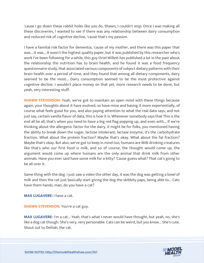'cause I go down these rabbit holes like you do, Shawn, I couldn't stop. Once I was making all these discoveries, I wanted to see if there was any relationship between dairy consumption and reduced risk of cognitive decline, 'cause that's my passion.

I have a familial risk factor for dementia, 'cause of my mother, and there was this paper that was... It was... It wasn't the highest quality paper, but it was published by this researcher who's work I've been following for a while, this guy Oriel Willett has published a lot in the past about the relationship the nutrition has to brain health, and he found it was a food frequency questionnaire study, that associated various components of subject dietary patterns with their brain health over a period of time, and they found that among all dietary components, dairy seemed to be the most... Dairy consumption seemed to be the most protective against cognitive decline. I wouldn't place money on that yet, more research needs to be done, but yeah, very interesting stuff.

**SHAWN STEVENSON:** Yeah, we've got to maintain an open mind with these things because again, your thoughts about it have evolved, so have mine and basing it more experientially, of course what feels good for you, and also paying attention to what the real data says, and not just say, certain vanilla flavor of data, this is how it is. Whenever somebody says that This is the end all be all, that's when you need to have a big red flag popping up, and even with... If we're thinking about the allergenic factor for the dairy, it might be for folks, you mentioned having the ability to break down the sugar, lactose intolerant, lactase enzyme, it's the carbohydrate fraction. What about the protein fraction? Maybe that's okay. What about the fat fraction? Maybe that's okay. But also, we've got to keep in mind too, humans are Milk drinking creatures like that's who our first food is milk, and so of course, the thought would come up, the argument would come up where humans are the only animal that drink milk from other animals. Have you ever said have some milk for a kitty? 'Cause guess what? That cat's going to be all over it.

Same thing with the dog. I just saw a video the other day, it was the dog was getting a bowl of milk and then the cat just basically start giving the dog the skibbity paps, being able to... Cats have them hands, man, do you have a cat?

**MAX LUGAVERE:** I have a cat.

**SHAWN STEVENSON:** You're a cat guy.

**MAX LUGAVERE:** I'm a cat... Yeah, that's what I never would have thought, but yeah, no, she's like a dog cat though. She's very, very personable. Cats can be weird, but you know... She's cute. Shout out to Delilah, the cat.

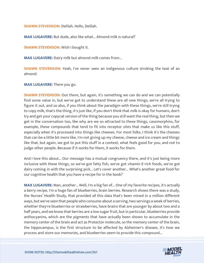**SHAWN STEVENSON:** Delilah. Hello, Delilah.

**MAX LUGAVERE:** But dude, also like what... Almond milk is natural?

**SHAWN STEVENSON:** Wish I bought it.

**MAX LUGAVERE:** Dairy milk but almond milk comes from...

**SHAWN STEVENSON:** Yeah, I've never seen an indigenous culture stroking the teat of an almond.

**MAX LUGAVERE:** There you go.

**SHAWN STEVENSON:** Out there, but again, it's something we can do and we can potentially find some value in, but we've got to understand these are all new things, we're all trying to figure it out, and so also, if you think about the paradigm with these things, we're still trying to copy milk, that's the thing, it's just like, if you don't think that milk is okay for humans, don't try and get your copycat version of the thing because you still want the real thing, but then we get in the conversation too, like why are we so attracted to these things, casomorphins, for example, these compounds that tend to fit into receptor sites that make us like this stuff, especially when it's processed into things like cheeses. For most folks, I think it's the cheeses that can be a little bit more like, I'm not giving up my cheese, cheese and ice cream and things like that, but again, we got to put this stuff in a context, what feels good for you, and not to judge other people. Because if it works for them, it works for them.

And I love this about... Our message has a mutual congruency there, and it's just being more inclusive with these things, so we've got fatty fish, we've got vitamin E-rich foods, we've got dairy coming in with the surprising pick... Let's cover another... What's another great food for our cognitive health that you have a recipe for in the book?

**MAX LUGAVERE:** Man, another... Well, I'm a big fan of... One of my favorite recipes, it's actually a berry recipe, I'm a huge fan of blueberries, brain berries. Research shows there was a study, the Nurses' Health Study, that provided all this data that's been mined in a million different ways, but we've seen that people who consume about a serving, two servings a week of berries, whether they're blueberries or strawberries, have brains that are younger by about two and a half years, and we know that berries are a low sugar fruit, but in particular, blueberries provide anthocyanins, which are the pigments that have actually been shown to accumulate in the memory center of the brain and act as Protector molecule, so the memory center of the brain, the hippocampus, is the first structure to be affected by Alzheimer's disease, it's how we process and store our memories, and blueberries seem to provide this compound...

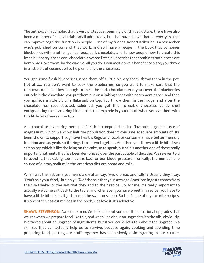The anthocyanin complex that is very protective, seemingly of that structure, there have also been a number of clinical trials, small admittedly, but that have shown that blueberry extract can improve cognitive function in people... One of my friends, Robert Krikorian is a researcher who's published on some of that work, and so I have a recipe in the book that combines blueberries with another genius food, dark chocolate, and I show people how to create this fresh blueberry, these dark chocolate-covered fresh blueberries that combines both, these are bomb, kids love them, by the way. So, all you do is you melt down a bar of chocolate, you throw in a little bit of coconut oil to help emulsify the chocolate.

You get some fresh blueberries, rinse them off a little bit, dry them, throw them in the pot. Not at a... You don't want to cook the blueberries, so you want to make sure that the temperature is just low enough to melt the dark chocolate. And you cover the blueberries entirely in the chocolate, you put them out on a baking sheet with parchment paper, and then you sprinkle a little bit of a flake salt on top. You throw them in the fridge, and after the chocolate has reconstituted, solidified, you get this incredible chocolate candy shell encapsulating these amazing blueberries that explode in your mouth when you eat them with this little hit of sea salt on top.

And chocolate is amazing because it's rich in compounds called flavanols, a good source of magnesium, which we know half the population doesn't consume adequate amounts of. It's been shown to support cognitive health. Regular chocolate consumers have better memory function and so, yeah, so it brings those two together. And then you throw a little bit of sea salt on top which is like the icing on the cake, so to speak, but salt is another one of these really important nutrients that has been demonized over the past couple of decades. We're even told to avoid it, that eating too much is bad for our blood pressure. Ironically, the number one source of dietary sodium in the American diet are bread and rolls.

When was the last time you heard a dietitian say, "Avoid bread and rolls,"? Usually they'll say, "Don't salt your food," but only 11% of the salt that your average American ingests comes from their saltshaker or the salt that they add to their recipe. So, for me, it's really important to actually welcome salt back to the table, and whenever you have sweet in a recipe, you have to have a little bit of salt, it just makes the sweetness pop. So that's one of my favorite recipes. It's one of the easiest recipes in the book, kids love it, it's addictive.

**SHAWN STEVENSON:** Awesome man. We talked about some of the nutritional upgrades that we get when we prepare food like this, and we talked about an upgrade with the oils, obviously. We talked about an upgrade of ingredients, but if you could, let's talk about the upgrade in a skill set that can actually help us to survive, because again, cooking and spending time preparing food, putting our stuff together has been slowly disintegrating in our culture,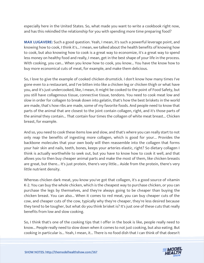especially here in the United States. So, what made you want to write a cookbook right now, and has this rekindled the relationship for you with spending more time preparing food?

**MAX LUGAVERE:** Such a good question. Yeah, I mean, it's such a powerful leverage point, and knowing how to cook, I think it's... I mean, we talked about the health benefits of knowing how to cook, but also knowing how to cook is a great way to economize, it's a great way to spend less money on healthy food and really, I mean, get in the best shape of your life in the process. With cooking, you can... When you know how to cook, you know... You have the know how to buy more economical cuts of meat, for example, and make them delicious.

So, I love to give the example of cooked chicken drumstick. I don't know how many times I've gone even to a restaurant, and I've bitten into like a chicken leg or chicken thigh or what have you, and it's just undercooked, like, I mean, it might be cooked to the point of Food Safety, but you still have collagenous tissue, connective tissue, tendons. You need to cook meat low and slow in order for collagen to break down into gelatin, that's how the best briskets in the world are made, that's how ribs are made, some of my favorite foods. And people need to know that parts of the animal that are closest to the joint contain collagen, right, and it's those parts of the animal they contain... That contain four times the collagen of white meat breast... Chicken breast, for example.

And so, you need to cook these items low and slow, and that's where you can really start to not only reap the benefits of ingesting more collagen, which is good for your... Provides the backbone molecules that your own body will then reassemble into the collagen that forms your hair skin and nails, teeth, bones, keeps your arteries elastic, right? So dietary collagen I think is actually worthwhile to seek out, but you have to know how to cook it well, and that allows you to then buy cheaper animal parts and make the most of them, like chicken breasts are great, but there... It's just protein, there's very little... Aside from the protein, there's very little nutrient density.

Whereas chicken dark meat, you know you've got that collagen, it's a good source of vitamin K-2. You can buy the whole chicken, which is the cheapest way to purchase chicken, or you can purchase the legs by themselves, and they're always going to be cheaper than buying the chicken breast. You can also... When it comes to red meat, you can buy cheaper cuts of the cow, and cheaper cuts of the cow, typically why they're cheaper, they're less desired because they tend to be tougher, but what do you think brisket is? It's just one of these cuts that really benefits from low and slow cooking.

So, I think that's one of the cooking tips that I offer in the book is like, people really need to know... People really need to slow down when it comes to not just cooking, but also eating. But cooking in particular is... Yeah, I mean, it... There is no food dish that I can think of that doesn't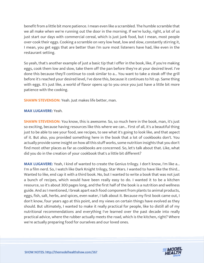benefit from a little bit more patience. I mean even like a scrambled. The humble scramble that we all make when we're running out the door in the morning. If we're lucky, right, a lot of us just start our days with commercial cereal, which is just junk food, but I mean, most people over-cook their eggs. Cooking a scramble on very low heat, low and slow, constantly stirring it, I mean, you get eggs that are better than I'm sure most listeners have had, like even in the restaurant setting.

So yeah, that's another example of just a basic tip that I offer in the book, like, if you're making eggs, cook them low and slow, take them off the pan before they're at your desired level. I've done this because they'll continue to cook similar to a... You want to take a steak off the grill before it's reached your desired level, I've done this, because it continues to hit up. Same thing with eggs. It's just like, a world of flavor opens up to you once you just have a little bit more patience with the cooking.

**SHAWN STEVENSON:** Yeah. Just makes life better, man.

#### **MAX LUGAVERE:** Yeah.

**SHAWN STEVENSON:** You know, this is awesome. So, so much here in the book, man, it's just so exciting, because having resources like this where we can... First of all, it's a beautiful thing just to be able to see your food, see recipes, to see what it's going to look like, and that aspect of it. But also, you provided something here in the book that a lot of cookbooks don't. You actually provide some insight on how all this stuff works, some nutrition insights that you don't find most other places as far as cookbooks are concerned. So, let's talk about that. Like, what did you do in the creation of your cookbook that's a little bit different?

**MAX LUGAVERE:** Yeah, I kind of wanted to create the Genius trilogy. I don't know, I'm like a... I'm a film nerd. So, I watch like Dark Knight trilogy, Star Wars. I wanted to have like the third... Wanted to like, end cap it with a third book. No, but I wanted to write a book that was not just a bunch of recipes, which would have been really easy to do. I wanted it to be a kitchen resource, so it's about 300 pages long, and the first half of the book is a nutrition and wellness guide. And as I mentioned, I break apart each food component from plants to animal products, eggs, fish, salt, herbs, and spices, even water, I talk about it. Because my first book came out, I don't know, four years ago at this point, and my views on certain things have evolved as they should. But ultimately, I wanted to make it really practical for people, like to distill all of my nutritional recommendations and everything I've learned over the past decade into really practical advice, where the rubber actually meets the road, which is the kitchen, right? Where we're actually preparing food for ourselves and our loved ones.

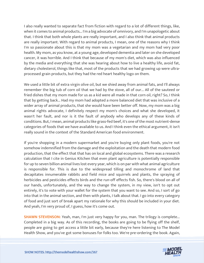I also really wanted to separate fact from fiction with regard to a lot of different things, like, when it comes to animal products... I'm a big advocate of omnivory, and I'm unapologetic about that. I think that both whole plants are really important, and I also think that animal products are really important. With regard to animal products, I mean, one of the reasons why I think I'm so passionate about this is that my mom was a vegetarian and my mom had very poor health. My mom, as you know, at a young age, developed dementia and later on she developed cancer, it was horrible. And I think that because of my mom's diet, which was also influenced by the media and everything that she was hearing about how to live a healthy life, avoid fat, dietary cholesterol, things like that, most of the products that we had growing up were ultraprocessed grain products, but they had the red heart healthy logo on them.

We used a little bit of extra virgin olive oil, but we shied away from animal fats, and I'll always remember the big tub of corn oil that we had by the stove, all of our... All of the sauteed or fried dishes that my mom made for us as a kid were all made in that corn oil, right? So, I think that by getting back... Had my mom had adopted a more balanced diet that was inclusive of a wider array of animal products, that she would have been better off. Now, my mom was a big animal rights advocate, I definitely respect my mom's choices and what she developed, it wasn't her fault, and nor is it the fault of anybody who develops any of these kinds of conditions. But, I mean, animal products like grass-fed beef, it's one of the most nutrient-dense categories of foods that we have available to us. And I think even the ethical argument, it isn't really sound in the context of the Standard American food environment.

If you're shopping in a modern supermarket and you're buying only plant foods, you're not somehow indemnified from the damage and the exploitation and the death that modern food production, that the effect that that has on local and global ecosystems. There was a research calculation that I cite in Genius Kitchen that even plant agriculture is potentially responsible for up to seven billion animal lives lost every year, which is on par with what animal agriculture is responsible for. This is due to the widespread tilling and monochrome of land that decapitates innumerable rabbits and field mice and squirrels and plants, the spraying of herbicides and pesticides effects birds and the run-off effects fish. So, there's blood on all of our hands, unfortunately, and the way to change the system, in my view, isn't to opt out entirely, it's to vote with your wallet for the system that you want to see. And so, I sort of go into that in the animal section, and then with plants, I talk about that. I go into every category of food and just sort of break apart my rationale for why this should be included in your diet. And yeah, I'm very proud of, I guess, how it's come out.

**SHAWN STEVENSON:** Yeah, man, I'm just very happy for you, man. The trilogy is complete... Completed in a big way. As of this recording, the books are going to be flying off the shelf, people are going to get access a little bit early, because they're here listening to The Model Health Show, and you've got some bonuses for folks too. We're pre-ordering the book. Again,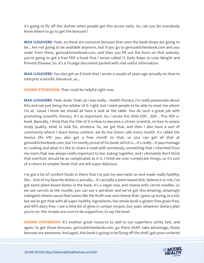it's going to fly off the shelves when people get this access early. So, can you let everybody know where to go to get the bonuses?

**MAX LUGAVERE:** Yeah, so these are exclusive bonuses that once the book drops are going to be... Are not going to be available anymore, but if you go to geniuskitchenbook.com and you order from there, geniuskitchenbook.com, and then you fill out the form on that website, you're going to get a free PDF e-book that I wrote called 15 Daily Steps to Lose Weight and Prevent Disease. So, it's a 15-page document packed with real useful information.

**MAX LUGAVERE:** You also get an E-book that I wrote a couple of years ago actually on How to interpret scientific literature, so...

**SHAWN STEVENSON:** That could be helpful right now.

**MAX LUGAVERE:** Yeah, dude. Yeah, so I was really... Health literacy, I'm really passionate about this and not just being the arbiter of it, right, but I want people to be able to meet me where I'm at, 'cause I think we should all have a seat at the table. You do such a great job with promoting scientific literacy. It's so important. So, I wrote this little EDF... EDF... This PDF ebook. Basically, I think that the title of it is How to become a citizen scientist, so how to assess study quality, what to look for, etcetera. So, we got that, and then I also have a sort of community where I share bonus content, we do live Zoom calls every month. It's called the Genius life VIP, you also get a free month to that, so you can get all that at geniuskitchenbook.com, but I'm mostly proud of his book, which is... It's really... It pays homage to cooking and what it's like to share a meal with somebody, something that I inherited from my mom, that was always really important to her, eating together, and I ultimately don't think that nutrition should be as complicated as it is. I think we over-complicate things, so it's sort of a return to simpler foods that are still super delicious.

I've got a lot of comfort foods in there that I've put my own twist on and made really healthy, like... One of my favorite dishes is actually... It's actually a plant-based dish, believe it or not, I've got some plant-based dishes in the book, it's a vegan mac and cheese with carrot noodles, so we use carrots as the noodle, you can use a spiralizer and we've got this amazing, amazingly indulgent cheese sauce that tastes like the Kraft mac and cheese that I grew up loving as a kid, but we've got that with all super healthy ingredients, the whole book is gluten-free grain-free, and 99% dairy free. I use a little bit of ghee in certain recipes, but yeah, whatever dietary plan you're on, the recipes are sure to be supportive, to say the least.

**SHAWN STEVENSON:** It's another great resource to add to our superhero utility belt, and again, to get those bonuses, geniuskitchenbook.com, go there ASAP, take advantage, those bonuses are awesome. And again, this book is going to be flying off the shelf, get yours ordered

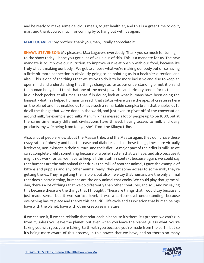and be ready to make some delicious meals, to get healthier, and this is a great time to do it, man, and thank you so much for coming by to hang out with us again.

**MAX LUGAVERE:** My brother, thank you, man, I really appreciate it.

**SHAWN STEVENSON:** My pleasure, Max Lugavere everybody. Thank you so much for tuning in to the show today. I hope you got a lot of value out of this. This is a mandate for us. The new mandate is to improve our nutrition, to improve our relationship with our food, because it's truly what is making our body... We get to choose what we're making our body out of, so having a little bit more connection is obviously going to be pointing us in a healthier direction, and also... This is one of the things that we strive to do is to be more inclusive and also to keep an open mind and understanding that things change as far as our understanding of nutrition and the human body, but I think that one of the most powerful and primary tenets for us to keep in our back pocket at all times is that if in doubt, look at what humans have been doing the longest, what has helped humans to reach that status where we're the apex of creatures here on the planet and has enabled us to have such a remarkable complex brain that enables us to do all the things that we've done in the world, and just even to pivot off of the conversation around milk, for example, got milk? Man, milk has messed a lot of people up to be 1000, but at the same time, many different civilizations have thrived, having access to milk and dairy products, my wife being from Kenya, she's from the Kikuyu tribe.

Also, a lot of people know about the Maasai tribe, and the Maasai again, they don't have these crazy rates of obesity and heart disease and diabetes and all these things, these are virtually irrelevant, non-existent in their culture, and their diet... A major part of their diet is milk, so we can't completely vilify something because of a belief system that we have, and also because it might not work for us, we have to keep all this stuff in context because again, we could say that humans are the only animal that drinks the milk of another animal, I gave the example of kittens and puppies and any other animal really, they get some access to some milk, they're getting there... They're getting their sip on, but also if we say that humans are the only animal that does a certain thing, humans are the only animal that cooks. We could play that game all day, there's a lot of things that we do differently than other creatures, and so... And I'm saying this because these are the things that I thought... These are things that I would say because it just made sense, but it was surface level, it was a surface-level understanding, because everything has its place and there's this beautiful life cycle and association that human beings have with the planet, have with other creatures in nature.

If we can see it, if we can rekindle that relationship because it's there, it's present, we can't run from it, unless you leave the planet, but even when you leave the planet, guess what, you're taking you with you, you're taking Earth with you because you're made from the earth, but so it's being more aware of this process, in this power that we have, and so there's so many